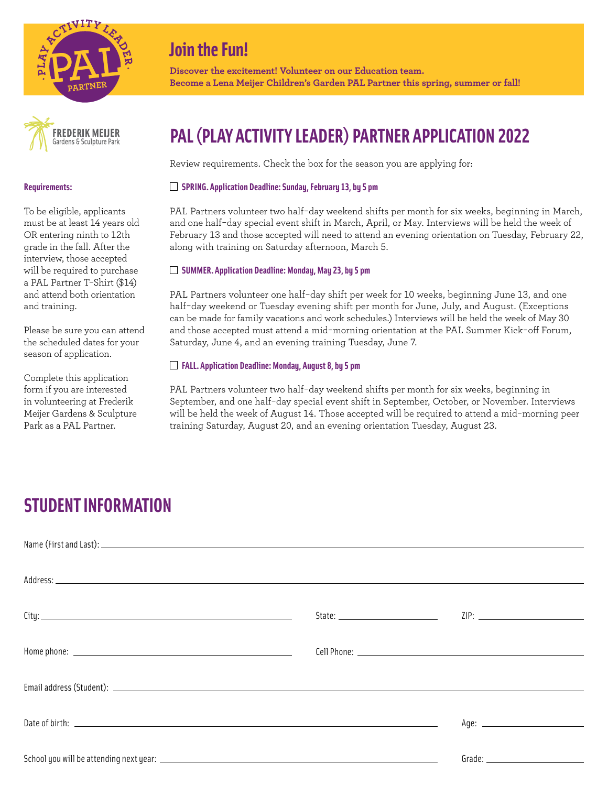



#### **Requirements:**

To be eligible, applicants must be at least 14 years old OR entering ninth to 12th grade in the fall. After the interview, those accepted will be required to purchase a PAL Partner T-Shirt (\$14) and attend both orientation and training.

Please be sure you can attend the scheduled dates for your season of application.

Complete this application form if you are interested in volunteering at Frederik Meijer Gardens & Sculpture Park as a PAL Partner.

## **Join the Fun!**

**Discover the excitement! Volunteer on our Education team. Become a Lena Meijer Children's Garden PAL Partner this spring, summer or fall!**

# **PAL (PLAY ACTIVITY LEADER) PARTNER APPLICATION 2022**

Review requirements. Check the box for the season you are applying for:

### **SPRING. Application Deadline: Sunday, February 13, by 5 pm**

PAL Partners volunteer two half-day weekend shifts per month for six weeks, beginning in March, and one half-day special event shift in March, April, or May. Interviews will be held the week of February 13 and those accepted will need to attend an evening orientation on Tuesday, February 22, along with training on Saturday afternoon, March 5.

### **SUMMER. Application Deadline: Monday, May 23, by 5 pm**

PAL Partners volunteer one half-day shift per week for 10 weeks, beginning June 13, and one half-day weekend or Tuesday evening shift per month for June, July, and August. (Exceptions can be made for family vacations and work schedules.) Interviews will be held the week of May 30 and those accepted must attend a mid-morning orientation at the PAL Summer Kick-off Forum, Saturday, June 4, and an evening training Tuesday, June 7.

### **FALL. Application Deadline: Monday, August 8, by 5 pm**

PAL Partners volunteer two half-day weekend shifts per month for six weeks, beginning in September, and one half-day special event shift in September, October, or November. Interviews will be held the week of August 14. Those accepted will be required to attend a mid-morning peer training Saturday, August 20, and an evening orientation Tuesday, August 23.

### **STUDENT INFORMATION**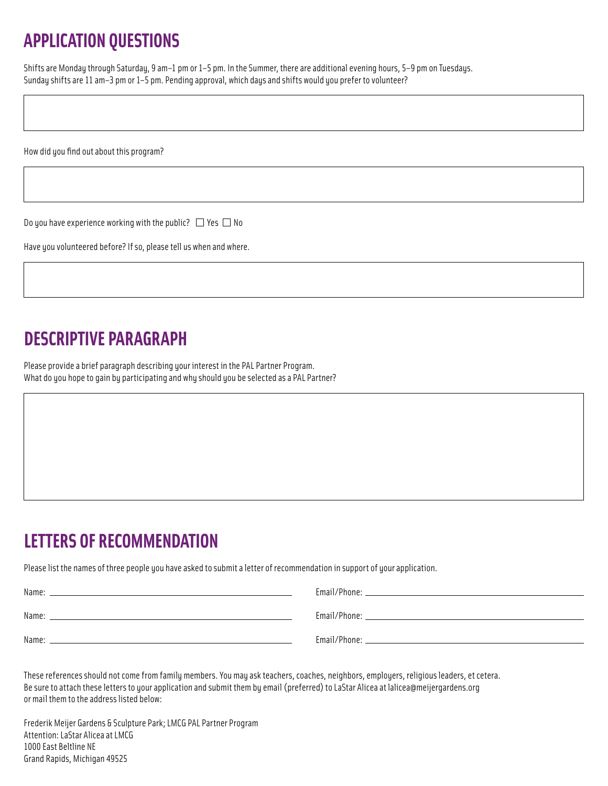# **APPLICATION QUESTIONS**

Shifts are Monday through Saturday, 9 am–1 pm or 1–5 pm. In the Summer, there are additional evening hours, 5–9 pm on Tuesdays. Sunday shifts are 11 am–3 pm or 1–5 pm. Pending approval, which days and shifts would you prefer to volunteer?

How did you find out about this program?

Do you have experience working with the public?  $\Box$  Yes  $\Box$  No

Have you volunteered before? If so, please tell us when and where.

## **DESCRIPTIVE PARAGRAPH**

Please provide a brief paragraph describing your interest in the PAL Partner Program. What do you hope to gain by participating and why should you be selected as a PAL Partner?

### **LETTERS OF RECOMMENDATION**

Please list the names of three people you have asked to submit a letter of recommendation in support of your application.

| Name: |              |
|-------|--------------|
| Name: | Email/Phone: |
| Name: | Email/Phone: |

These references should not come from family members. You may ask teachers, coaches, neighbors, employers, religious leaders, et cetera. Be sure to attach these letters to your application and submit them by email (preferred) to LaStar Alicea at lalicea@meijergardens.org or mail them to the address listed below:

Frederik Meijer Gardens & Sculpture Park; LMCG PAL Partner Program Attention: LaStar Alicea at LMCG 1000 East Beltline NE Grand Rapids, Michigan 49525